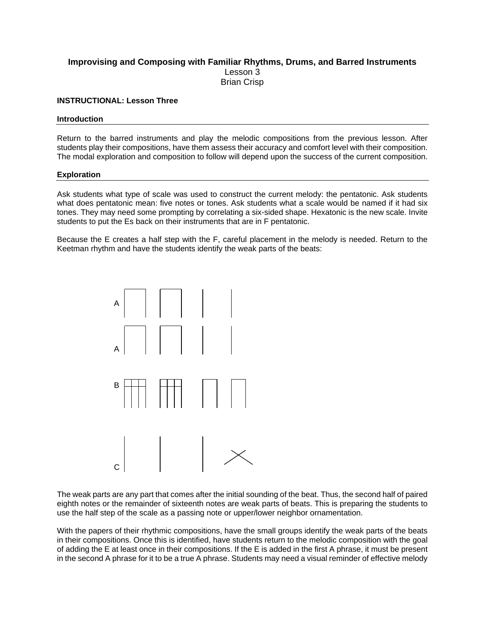# **Improvising and Composing with Familiar Rhythms, Drums, and Barred Instruments**  Lesson 3 Brian Crisp

# **INSTRUCTIONAL: Lesson Three**

## **Introduction**

Return to the barred instruments and play the melodic compositions from the previous lesson. After students play their compositions, have them assess their accuracy and comfort level with their composition. The modal exploration and composition to follow will depend upon the success of the current composition.

### **Exploration**

Ask students what type of scale was used to construct the current melody: the pentatonic. Ask students what does pentatonic mean: five notes or tones. Ask students what a scale would be named if it had six tones. They may need some prompting by correlating a six-sided shape. Hexatonic is the new scale. Invite students to put the Es back on their instruments that are in F pentatonic.

Because the E creates a half step with the F, careful placement in the melody is needed. Return to the Keetman rhythm and have the students identify the weak parts of the beats:



The weak parts are any part that comes after the initial sounding of the beat. Thus, the second half of paired eighth notes or the remainder of sixteenth notes are weak parts of beats. This is preparing the students to use the half step of the scale as a passing note or upper/lower neighbor ornamentation.

With the papers of their rhythmic compositions, have the small groups identify the weak parts of the beats in their compositions. Once this is identified, have students return to the melodic composition with the goal of adding the E at least once in their compositions. If the E is added in the first A phrase, it must be present in the second A phrase for it to be a true A phrase. Students may need a visual reminder of effective melody